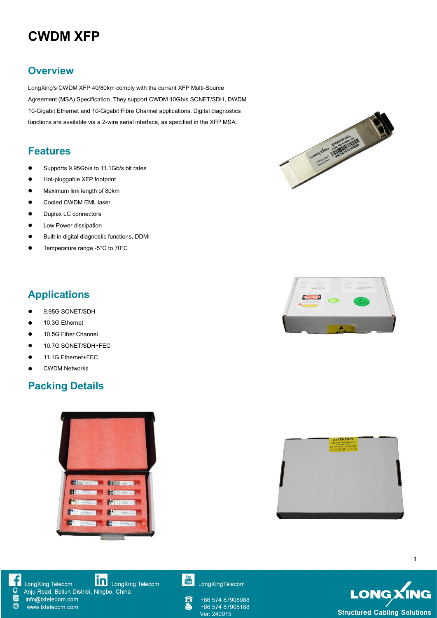# **CWDM XFP**

#### **Overview**

LongXing's CWDM XFP 40/80km comply with the current XFP Multi-Source Agreement (MSA) Specification. They support CWDM 10Gb/s SONET/SDH, DWDM 10-Gigabit Ethernet and 10-Gigabit Fibre Channel applications. Digital diagnostics

#### **Features**

- Supports 9.95Gb/s to 11.1Gb/s bit rates
- Hot-pluggable XFP footprint
- Maximum link length of 80km
- **•** Cooled CWDM EML laser.
- $\bullet$  Duplex LC connectors
- **•** Low Power dissipation
- Built-in digital diagnostic functions, DDMI
- Temperature range -5°C to 70°C





## **Applications**

- 9.95G SONET/SDH
- 10.3G Ethernet
- 10.5G Fiber Channel
- 10.7G SONET/SDH+FEC
- 11.1G Ethernet+FEC
- CWDM Networks

### **Packing Details**







**in** LongXing Telecom LongXing Telecom Anju Road, Beilun District, Ningbo, China

info@lxtelecom.com www.lxtelecom.com



LongXingTelecom

+86 574 87908988 +86 574 87908188

**LONGXING Structured Cabling Solutions**